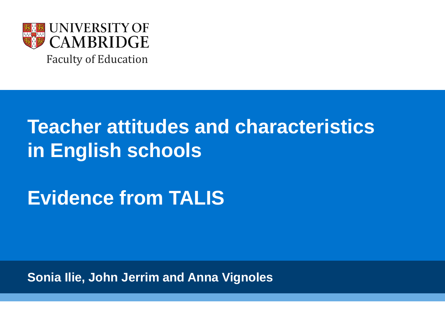

# **Teacher attitudes and characteristics in English schools**

**Evidence from TALIS**

**Sonia Ilie, John Jerrim and Anna Vignoles**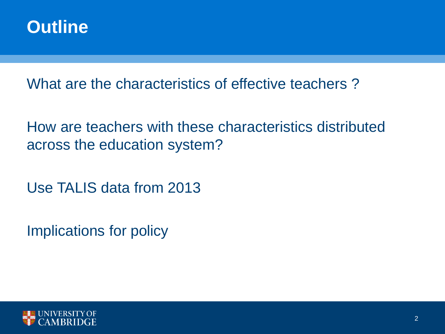

What are the characteristics of effective teachers ?

How are teachers with these characteristics distributed across the education system?

Use TALIS data from 2013

Implications for policy

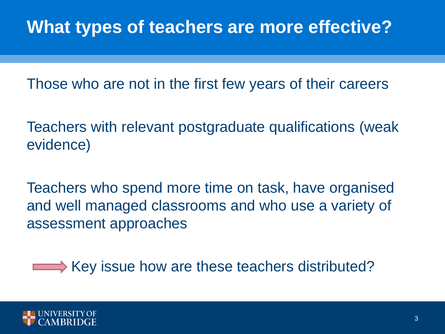## **What types of teachers are more effective?**

Those who are not in the first few years of their careers

Teachers with relevant postgraduate qualifications (weak evidence)

Teachers who spend more time on task, have organised and well managed classrooms and who use a variety of assessment approaches

Key issue how are these teachers distributed?

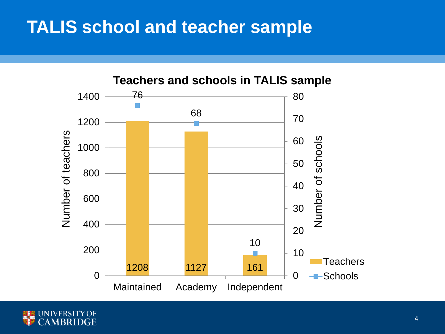#### **TALIS school and teacher sample**



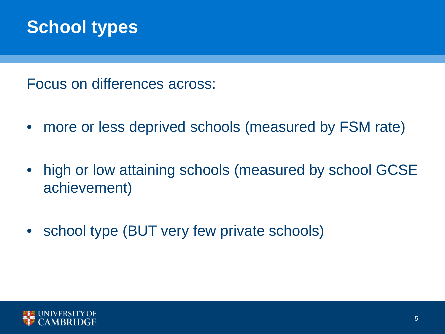#### **School types**

Focus on differences across:

- more or less deprived schools (measured by FSM rate)
- high or low attaining schools (measured by school GCSE achievement)
- school type (BUT very few private schools)

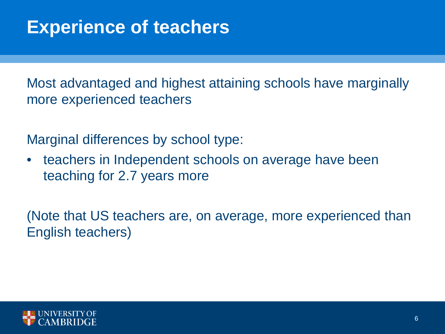## **Experience of teachers**

Most advantaged and highest attaining schools have marginally more experienced teachers

Marginal differences by school type:

• teachers in Independent schools on average have been teaching for 2.7 years more

(Note that US teachers are, on average, more experienced than English teachers)

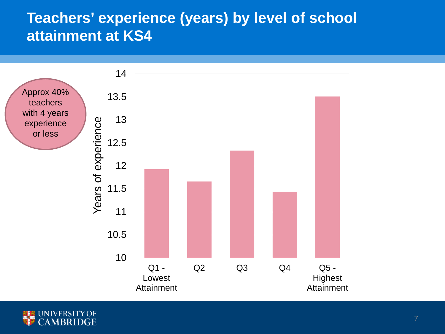#### **Teachers' experience (years) by level of school attainment at KS4**



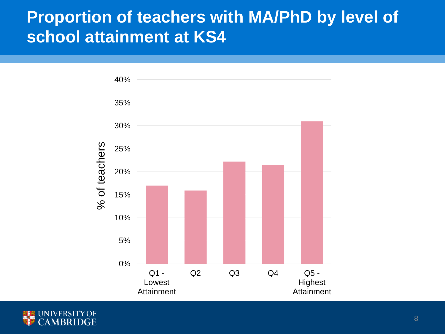#### **Proportion of teachers with MA/PhD by level of school attainment at KS4**



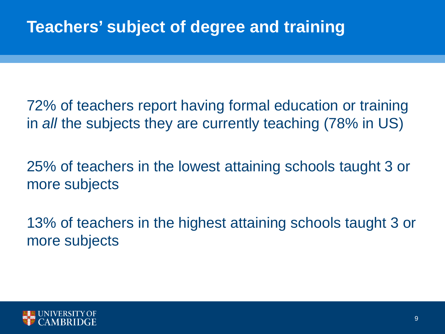72% of teachers report having formal education or training in *all* the subjects they are currently teaching (78% in US)

25% of teachers in the lowest attaining schools taught 3 or more subjects

13% of teachers in the highest attaining schools taught 3 or more subjects

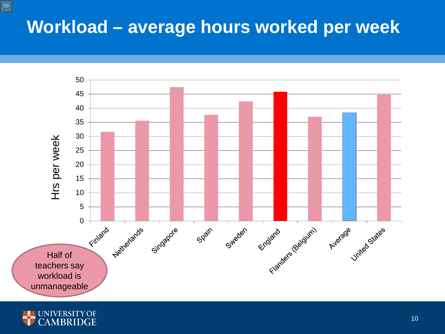## **Workload – average hours worked per week**





 $\boxed{\bigcirc}$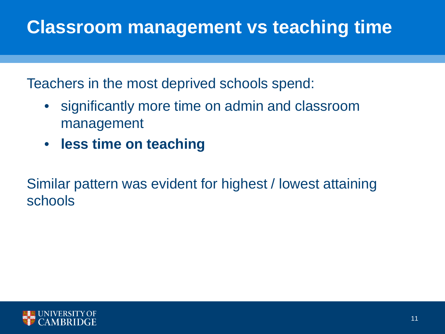## **Classroom management vs teaching time**

Teachers in the most deprived schools spend:

- significantly more time on admin and classroom management
- **less time on teaching**

Similar pattern was evident for highest / lowest attaining schools

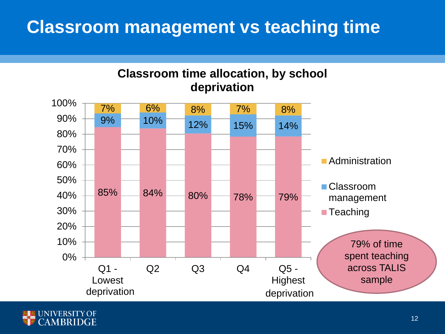#### **Classroom management vs teaching time**



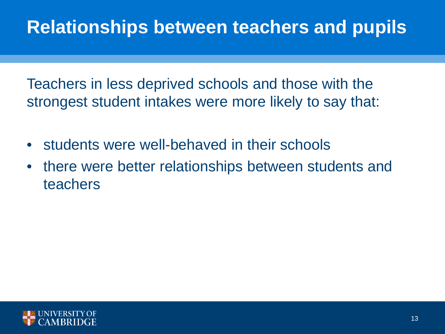## **Relationships between teachers and pupils**

Teachers in less deprived schools and those with the strongest student intakes were more likely to say that:

- students were well-behaved in their schools
- there were better relationships between students and teachers

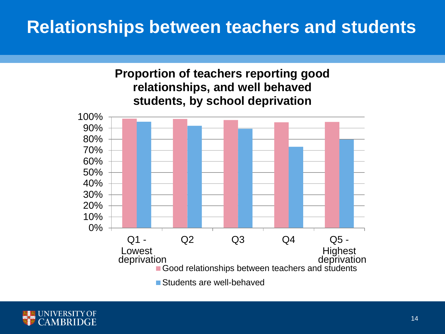#### **Relationships between teachers and students**



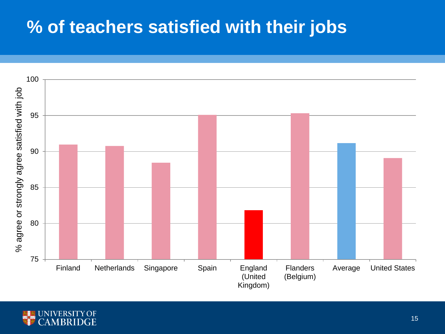## **% of teachers satisfied with their jobs**